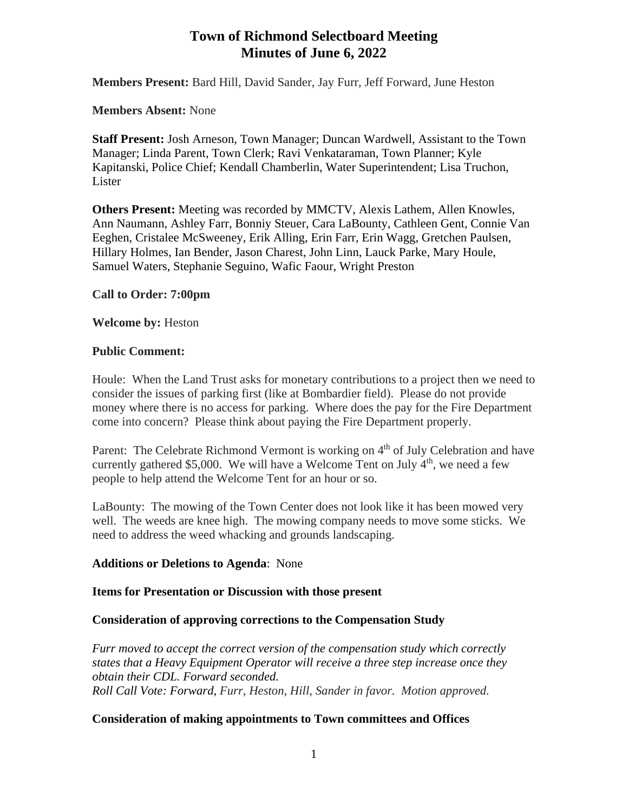# **Town of Richmond Selectboard Meeting Minutes of June 6, 2022**

**Members Present:** Bard Hill, David Sander, Jay Furr, Jeff Forward, June Heston

**Members Absent:** None

**Staff Present:** Josh Arneson, Town Manager; Duncan Wardwell, Assistant to the Town Manager; Linda Parent, Town Clerk; Ravi Venkataraman, Town Planner; Kyle Kapitanski, Police Chief; Kendall Chamberlin, Water Superintendent; Lisa Truchon, Lister

**Others Present:** Meeting was recorded by MMCTV, Alexis Lathem, Allen Knowles, Ann Naumann, Ashley Farr, Bonniy Steuer, Cara LaBounty, Cathleen Gent, Connie Van Eeghen, Cristalee McSweeney, Erik Alling, Erin Farr, Erin Wagg, Gretchen Paulsen, Hillary Holmes, Ian Bender, Jason Charest, John Linn, Lauck Parke, Mary Houle, Samuel Waters, Stephanie Seguino, Wafic Faour, Wright Preston

# **Call to Order: 7:00pm**

**Welcome by:** Heston

### **Public Comment:**

Houle: When the Land Trust asks for monetary contributions to a project then we need to consider the issues of parking first (like at Bombardier field). Please do not provide money where there is no access for parking. Where does the pay for the Fire Department come into concern? Please think about paying the Fire Department properly.

Parent: The Celebrate Richmond Vermont is working on 4<sup>th</sup> of July Celebration and have currently gathered \$5,000. We will have a Welcome Tent on July  $4<sup>th</sup>$ , we need a few people to help attend the Welcome Tent for an hour or so.

LaBounty: The mowing of the Town Center does not look like it has been mowed very well. The weeds are knee high. The mowing company needs to move some sticks. We need to address the weed whacking and grounds landscaping.

# **Additions or Deletions to Agenda**: None

# **Items for Presentation or Discussion with those present**

# **Consideration of approving corrections to the Compensation Study**

*Furr moved to accept the correct version of the compensation study which correctly states that a Heavy Equipment Operator will receive a three step increase once they obtain their CDL. Forward seconded. Roll Call Vote: Forward, Furr, Heston, Hill, Sander in favor. Motion approved.*

# **Consideration of making appointments to Town committees and Offices**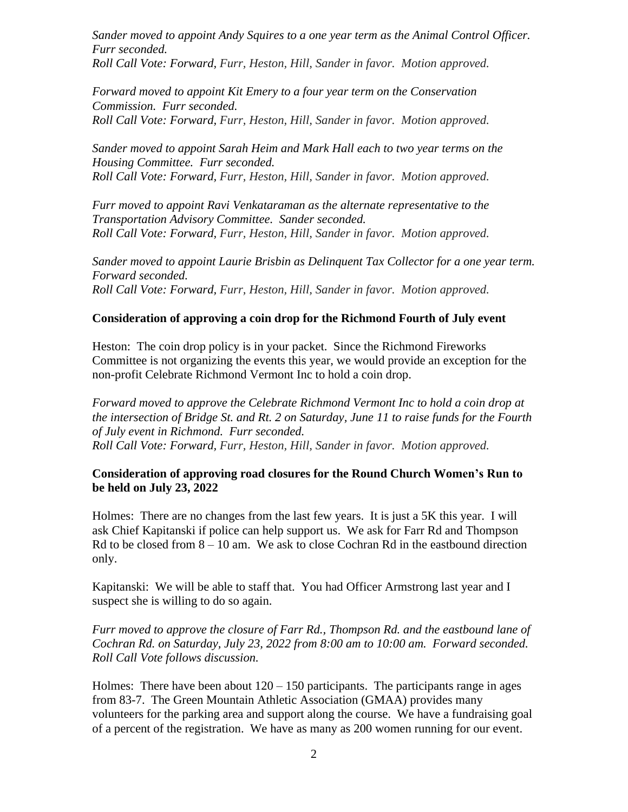*Sander moved to appoint Andy Squires to a one year term as the Animal Control Officer. Furr seconded.*

*Roll Call Vote: Forward, Furr, Heston, Hill, Sander in favor. Motion approved.*

*Forward moved to appoint Kit Emery to a four year term on the Conservation Commission. Furr seconded. Roll Call Vote: Forward, Furr, Heston, Hill, Sander in favor. Motion approved.*

*Sander moved to appoint Sarah Heim and Mark Hall each to two year terms on the Housing Committee. Furr seconded. Roll Call Vote: Forward, Furr, Heston, Hill, Sander in favor. Motion approved.*

*Furr moved to appoint Ravi Venkataraman as the alternate representative to the Transportation Advisory Committee. Sander seconded. Roll Call Vote: Forward, Furr, Heston, Hill, Sander in favor. Motion approved.*

*Sander moved to appoint Laurie Brisbin as Delinquent Tax Collector for a one year term. Forward seconded. Roll Call Vote: Forward, Furr, Heston, Hill, Sander in favor. Motion approved.*

### **Consideration of approving a coin drop for the Richmond Fourth of July event**

Heston: The coin drop policy is in your packet. Since the Richmond Fireworks Committee is not organizing the events this year, we would provide an exception for the non-profit Celebrate Richmond Vermont Inc to hold a coin drop.

*Forward moved to approve the Celebrate Richmond Vermont Inc to hold a coin drop at the intersection of Bridge St. and Rt. 2 on Saturday, June 11 to raise funds for the Fourth of July event in Richmond. Furr seconded. Roll Call Vote: Forward, Furr, Heston, Hill, Sander in favor. Motion approved.*

### **Consideration of approving road closures for the Round Church Women's Run to be held on July 23, 2022**

Holmes: There are no changes from the last few years. It is just a 5K this year. I will ask Chief Kapitanski if police can help support us. We ask for Farr Rd and Thompson Rd to be closed from  $8 - 10$  am. We ask to close Cochran Rd in the eastbound direction only.

Kapitanski: We will be able to staff that. You had Officer Armstrong last year and I suspect she is willing to do so again.

*Furr moved to approve the closure of Farr Rd., Thompson Rd. and the eastbound lane of Cochran Rd. on Saturday, July 23, 2022 from 8:00 am to 10:00 am. Forward seconded. Roll Call Vote follows discussion.*

Holmes: There have been about  $120 - 150$  participants. The participants range in ages from 83-7. The Green Mountain Athletic Association (GMAA) provides many volunteers for the parking area and support along the course. We have a fundraising goal of a percent of the registration. We have as many as 200 women running for our event.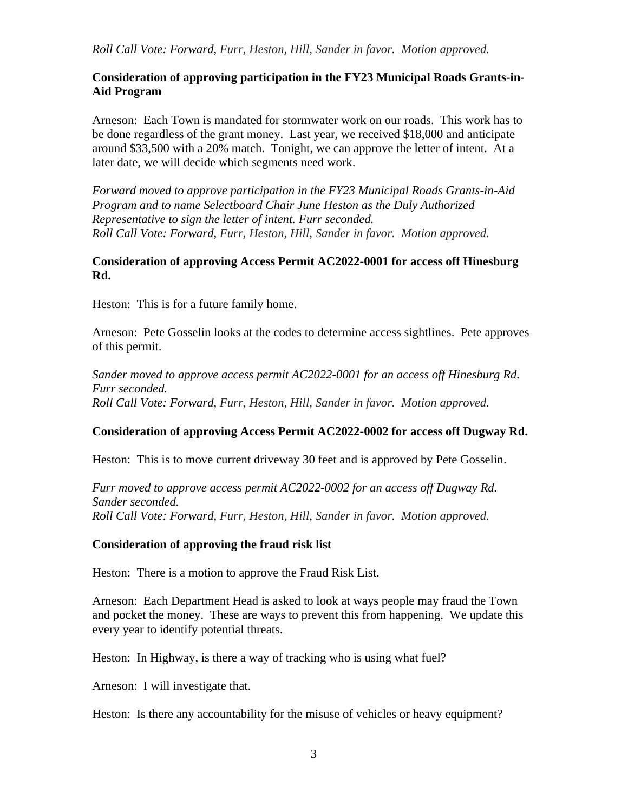*Roll Call Vote: Forward, Furr, Heston, Hill, Sander in favor. Motion approved.*

# **Consideration of approving participation in the FY23 Municipal Roads Grants-in-Aid Program**

Arneson: Each Town is mandated for stormwater work on our roads. This work has to be done regardless of the grant money. Last year, we received \$18,000 and anticipate around \$33,500 with a 20% match. Tonight, we can approve the letter of intent. At a later date, we will decide which segments need work.

*Forward moved to approve participation in the FY23 Municipal Roads Grants-in-Aid Program and to name Selectboard Chair June Heston as the Duly Authorized Representative to sign the letter of intent. Furr seconded. Roll Call Vote: Forward, Furr, Heston, Hill, Sander in favor. Motion approved.*

### **Consideration of approving Access Permit AC2022-0001 for access off Hinesburg Rd.**

Heston: This is for a future family home.

Arneson: Pete Gosselin looks at the codes to determine access sightlines. Pete approves of this permit.

*Sander moved to approve access permit AC2022-0001 for an access off Hinesburg Rd. Furr seconded. Roll Call Vote: Forward, Furr, Heston, Hill, Sander in favor. Motion approved.*

# **Consideration of approving Access Permit AC2022-0002 for access off Dugway Rd.**

Heston: This is to move current driveway 30 feet and is approved by Pete Gosselin.

*Furr moved to approve access permit AC2022-0002 for an access off Dugway Rd. Sander seconded. Roll Call Vote: Forward, Furr, Heston, Hill, Sander in favor. Motion approved.*

# **Consideration of approving the fraud risk list**

Heston: There is a motion to approve the Fraud Risk List.

Arneson: Each Department Head is asked to look at ways people may fraud the Town and pocket the money. These are ways to prevent this from happening. We update this every year to identify potential threats.

Heston: In Highway, is there a way of tracking who is using what fuel?

Arneson: I will investigate that.

Heston: Is there any accountability for the misuse of vehicles or heavy equipment?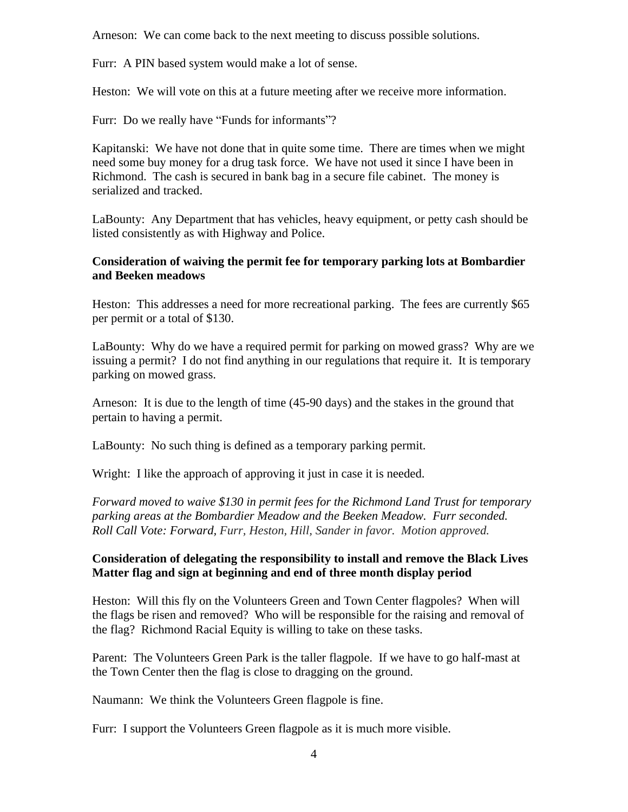Arneson: We can come back to the next meeting to discuss possible solutions.

Furr: A PIN based system would make a lot of sense.

Heston: We will vote on this at a future meeting after we receive more information.

Furr: Do we really have "Funds for informants"?

Kapitanski: We have not done that in quite some time. There are times when we might need some buy money for a drug task force. We have not used it since I have been in Richmond. The cash is secured in bank bag in a secure file cabinet. The money is serialized and tracked.

LaBounty: Any Department that has vehicles, heavy equipment, or petty cash should be listed consistently as with Highway and Police.

### **Consideration of waiving the permit fee for temporary parking lots at Bombardier and Beeken meadows**

Heston: This addresses a need for more recreational parking. The fees are currently \$65 per permit or a total of \$130.

LaBounty: Why do we have a required permit for parking on mowed grass? Why are we issuing a permit? I do not find anything in our regulations that require it. It is temporary parking on mowed grass.

Arneson: It is due to the length of time (45-90 days) and the stakes in the ground that pertain to having a permit.

LaBounty: No such thing is defined as a temporary parking permit.

Wright: I like the approach of approving it just in case it is needed.

*Forward moved to waive \$130 in permit fees for the Richmond Land Trust for temporary parking areas at the Bombardier Meadow and the Beeken Meadow. Furr seconded. Roll Call Vote: Forward, Furr, Heston, Hill, Sander in favor. Motion approved.*

### **Consideration of delegating the responsibility to install and remove the Black Lives Matter flag and sign at beginning and end of three month display period**

Heston: Will this fly on the Volunteers Green and Town Center flagpoles? When will the flags be risen and removed? Who will be responsible for the raising and removal of the flag? Richmond Racial Equity is willing to take on these tasks.

Parent: The Volunteers Green Park is the taller flagpole. If we have to go half-mast at the Town Center then the flag is close to dragging on the ground.

Naumann: We think the Volunteers Green flagpole is fine.

Furr: I support the Volunteers Green flagpole as it is much more visible.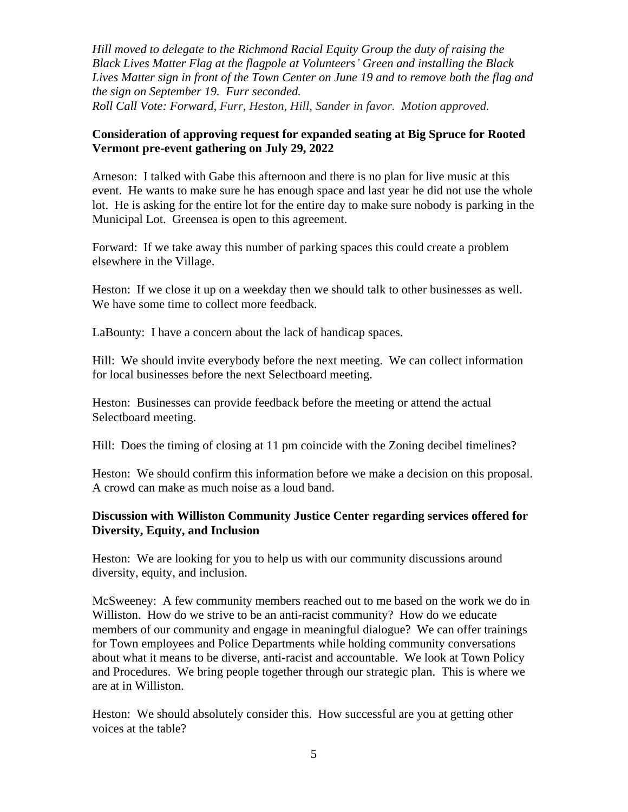*Hill moved to delegate to the Richmond Racial Equity Group the duty of raising the Black Lives Matter Flag at the flagpole at Volunteers' Green and installing the Black Lives Matter sign in front of the Town Center on June 19 and to remove both the flag and the sign on September 19. Furr seconded. Roll Call Vote: Forward, Furr, Heston, Hill, Sander in favor. Motion approved.*

### **Consideration of approving request for expanded seating at Big Spruce for Rooted Vermont pre-event gathering on July 29, 2022**

Arneson: I talked with Gabe this afternoon and there is no plan for live music at this event. He wants to make sure he has enough space and last year he did not use the whole lot. He is asking for the entire lot for the entire day to make sure nobody is parking in the Municipal Lot. Greensea is open to this agreement.

Forward: If we take away this number of parking spaces this could create a problem elsewhere in the Village.

Heston: If we close it up on a weekday then we should talk to other businesses as well. We have some time to collect more feedback.

LaBounty: I have a concern about the lack of handicap spaces.

Hill: We should invite everybody before the next meeting. We can collect information for local businesses before the next Selectboard meeting.

Heston: Businesses can provide feedback before the meeting or attend the actual Selectboard meeting.

Hill: Does the timing of closing at 11 pm coincide with the Zoning decibel timelines?

Heston: We should confirm this information before we make a decision on this proposal. A crowd can make as much noise as a loud band.

### **Discussion with Williston Community Justice Center regarding services offered for Diversity, Equity, and Inclusion**

Heston: We are looking for you to help us with our community discussions around diversity, equity, and inclusion.

McSweeney: A few community members reached out to me based on the work we do in Williston. How do we strive to be an anti-racist community? How do we educate members of our community and engage in meaningful dialogue? We can offer trainings for Town employees and Police Departments while holding community conversations about what it means to be diverse, anti-racist and accountable. We look at Town Policy and Procedures. We bring people together through our strategic plan. This is where we are at in Williston.

Heston: We should absolutely consider this. How successful are you at getting other voices at the table?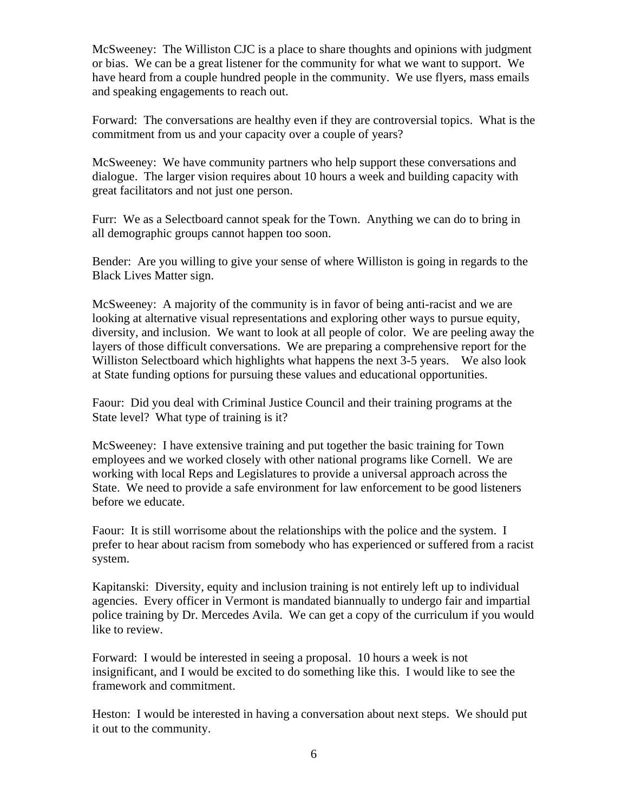McSweeney: The Williston CJC is a place to share thoughts and opinions with judgment or bias. We can be a great listener for the community for what we want to support. We have heard from a couple hundred people in the community. We use flyers, mass emails and speaking engagements to reach out.

Forward: The conversations are healthy even if they are controversial topics. What is the commitment from us and your capacity over a couple of years?

McSweeney: We have community partners who help support these conversations and dialogue. The larger vision requires about 10 hours a week and building capacity with great facilitators and not just one person.

Furr: We as a Selectboard cannot speak for the Town. Anything we can do to bring in all demographic groups cannot happen too soon.

Bender: Are you willing to give your sense of where Williston is going in regards to the Black Lives Matter sign.

McSweeney: A majority of the community is in favor of being anti-racist and we are looking at alternative visual representations and exploring other ways to pursue equity, diversity, and inclusion. We want to look at all people of color. We are peeling away the layers of those difficult conversations. We are preparing a comprehensive report for the Williston Selectboard which highlights what happens the next 3-5 years. We also look at State funding options for pursuing these values and educational opportunities.

Faour: Did you deal with Criminal Justice Council and their training programs at the State level? What type of training is it?

McSweeney: I have extensive training and put together the basic training for Town employees and we worked closely with other national programs like Cornell. We are working with local Reps and Legislatures to provide a universal approach across the State. We need to provide a safe environment for law enforcement to be good listeners before we educate.

Faour: It is still worrisome about the relationships with the police and the system. I prefer to hear about racism from somebody who has experienced or suffered from a racist system.

Kapitanski: Diversity, equity and inclusion training is not entirely left up to individual agencies. Every officer in Vermont is mandated biannually to undergo fair and impartial police training by Dr. Mercedes Avila. We can get a copy of the curriculum if you would like to review.

Forward: I would be interested in seeing a proposal. 10 hours a week is not insignificant, and I would be excited to do something like this. I would like to see the framework and commitment.

Heston: I would be interested in having a conversation about next steps. We should put it out to the community.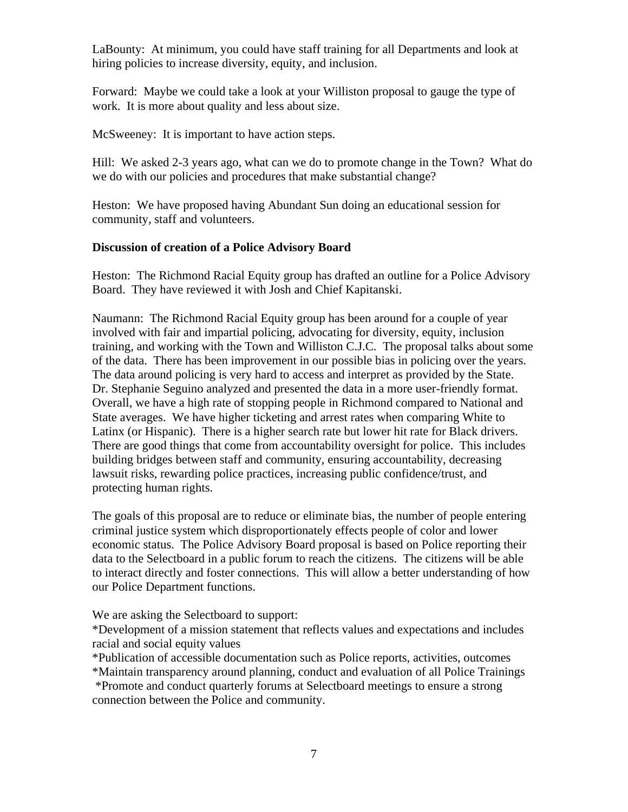LaBounty: At minimum, you could have staff training for all Departments and look at hiring policies to increase diversity, equity, and inclusion.

Forward: Maybe we could take a look at your Williston proposal to gauge the type of work. It is more about quality and less about size.

McSweeney: It is important to have action steps.

Hill: We asked 2-3 years ago, what can we do to promote change in the Town? What do we do with our policies and procedures that make substantial change?

Heston: We have proposed having Abundant Sun doing an educational session for community, staff and volunteers.

# **Discussion of creation of a Police Advisory Board**

Heston: The Richmond Racial Equity group has drafted an outline for a Police Advisory Board. They have reviewed it with Josh and Chief Kapitanski.

Naumann: The Richmond Racial Equity group has been around for a couple of year involved with fair and impartial policing, advocating for diversity, equity, inclusion training, and working with the Town and Williston C.J.C. The proposal talks about some of the data. There has been improvement in our possible bias in policing over the years. The data around policing is very hard to access and interpret as provided by the State. Dr. Stephanie Seguino analyzed and presented the data in a more user-friendly format. Overall, we have a high rate of stopping people in Richmond compared to National and State averages. We have higher ticketing and arrest rates when comparing White to Latinx (or Hispanic). There is a higher search rate but lower hit rate for Black drivers. There are good things that come from accountability oversight for police. This includes building bridges between staff and community, ensuring accountability, decreasing lawsuit risks, rewarding police practices, increasing public confidence/trust, and protecting human rights.

The goals of this proposal are to reduce or eliminate bias, the number of people entering criminal justice system which disproportionately effects people of color and lower economic status. The Police Advisory Board proposal is based on Police reporting their data to the Selectboard in a public forum to reach the citizens. The citizens will be able to interact directly and foster connections. This will allow a better understanding of how our Police Department functions.

We are asking the Selectboard to support:

\*Development of a mission statement that reflects values and expectations and includes racial and social equity values

\*Publication of accessible documentation such as Police reports, activities, outcomes

\*Maintain transparency around planning, conduct and evaluation of all Police Trainings \*Promote and conduct quarterly forums at Selectboard meetings to ensure a strong connection between the Police and community.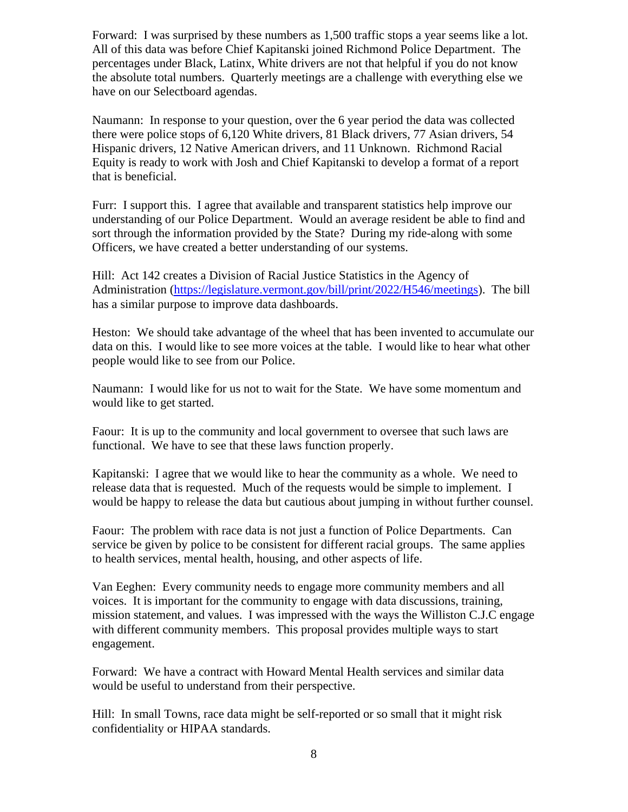Forward: I was surprised by these numbers as 1,500 traffic stops a year seems like a lot. All of this data was before Chief Kapitanski joined Richmond Police Department. The percentages under Black, Latinx, White drivers are not that helpful if you do not know the absolute total numbers. Quarterly meetings are a challenge with everything else we have on our Selectboard agendas.

Naumann: In response to your question, over the 6 year period the data was collected there were police stops of 6,120 White drivers, 81 Black drivers, 77 Asian drivers, 54 Hispanic drivers, 12 Native American drivers, and 11 Unknown. Richmond Racial Equity is ready to work with Josh and Chief Kapitanski to develop a format of a report that is beneficial.

Furr: I support this. I agree that available and transparent statistics help improve our understanding of our Police Department. Would an average resident be able to find and sort through the information provided by the State? During my ride-along with some Officers, we have created a better understanding of our systems.

Hill: Act 142 creates a Division of Racial Justice Statistics in the Agency of Administration [\(https://legislature.vermont.gov/bill/print/2022/H546/meetings\)](https://legislature.vermont.gov/bill/print/2022/H546/meetings). The bill has a similar purpose to improve data dashboards.

Heston: We should take advantage of the wheel that has been invented to accumulate our data on this. I would like to see more voices at the table. I would like to hear what other people would like to see from our Police.

Naumann: I would like for us not to wait for the State. We have some momentum and would like to get started.

Faour: It is up to the community and local government to oversee that such laws are functional. We have to see that these laws function properly.

Kapitanski: I agree that we would like to hear the community as a whole. We need to release data that is requested. Much of the requests would be simple to implement. I would be happy to release the data but cautious about jumping in without further counsel.

Faour: The problem with race data is not just a function of Police Departments. Can service be given by police to be consistent for different racial groups. The same applies to health services, mental health, housing, and other aspects of life.

Van Eeghen: Every community needs to engage more community members and all voices. It is important for the community to engage with data discussions, training, mission statement, and values. I was impressed with the ways the Williston C.J.C engage with different community members. This proposal provides multiple ways to start engagement.

Forward: We have a contract with Howard Mental Health services and similar data would be useful to understand from their perspective.

Hill: In small Towns, race data might be self-reported or so small that it might risk confidentiality or HIPAA standards.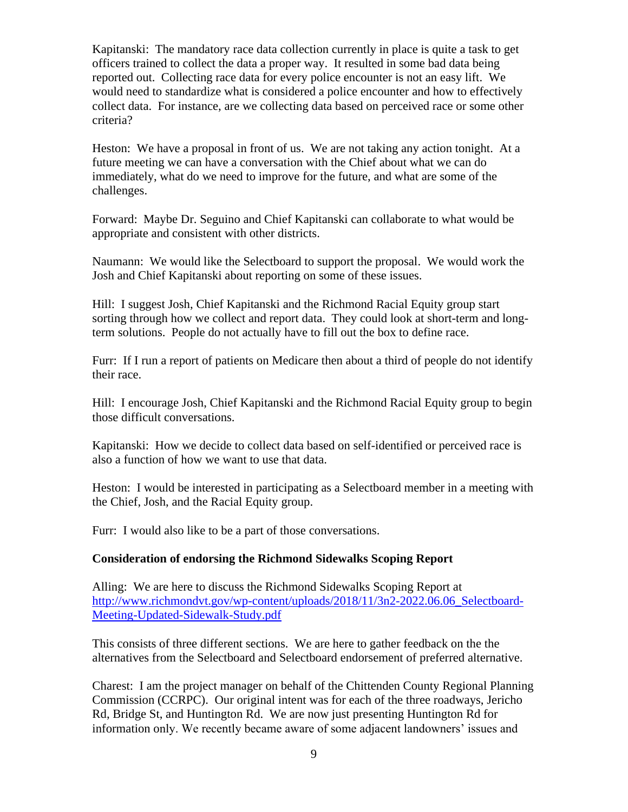Kapitanski: The mandatory race data collection currently in place is quite a task to get officers trained to collect the data a proper way. It resulted in some bad data being reported out. Collecting race data for every police encounter is not an easy lift. We would need to standardize what is considered a police encounter and how to effectively collect data. For instance, are we collecting data based on perceived race or some other criteria?

Heston: We have a proposal in front of us. We are not taking any action tonight. At a future meeting we can have a conversation with the Chief about what we can do immediately, what do we need to improve for the future, and what are some of the challenges.

Forward: Maybe Dr. Seguino and Chief Kapitanski can collaborate to what would be appropriate and consistent with other districts.

Naumann: We would like the Selectboard to support the proposal. We would work the Josh and Chief Kapitanski about reporting on some of these issues.

Hill: I suggest Josh, Chief Kapitanski and the Richmond Racial Equity group start sorting through how we collect and report data. They could look at short-term and longterm solutions. People do not actually have to fill out the box to define race.

Furr: If I run a report of patients on Medicare then about a third of people do not identify their race.

Hill: I encourage Josh, Chief Kapitanski and the Richmond Racial Equity group to begin those difficult conversations.

Kapitanski: How we decide to collect data based on self-identified or perceived race is also a function of how we want to use that data.

Heston: I would be interested in participating as a Selectboard member in a meeting with the Chief, Josh, and the Racial Equity group.

Furr: I would also like to be a part of those conversations.

#### **Consideration of endorsing the Richmond Sidewalks Scoping Report**

Alling: We are here to discuss the Richmond Sidewalks Scoping Report at [http://www.richmondvt.gov/wp-content/uploads/2018/11/3n2-2022.06.06\\_Selectboard-](http://www.richmondvt.gov/wp-content/uploads/2018/11/3n2-2022.06.06_Selectboard-Meeting-Updated-Sidewalk-Study.pdf)[Meeting-Updated-Sidewalk-Study.pdf](http://www.richmondvt.gov/wp-content/uploads/2018/11/3n2-2022.06.06_Selectboard-Meeting-Updated-Sidewalk-Study.pdf)

This consists of three different sections. We are here to gather feedback on the the alternatives from the Selectboard and Selectboard endorsement of preferred alternative.

Charest: I am the project manager on behalf of the Chittenden County Regional Planning Commission (CCRPC). Our original intent was for each of the three roadways, Jericho Rd, Bridge St, and Huntington Rd. We are now just presenting Huntington Rd for information only. We recently became aware of some adjacent landowners' issues and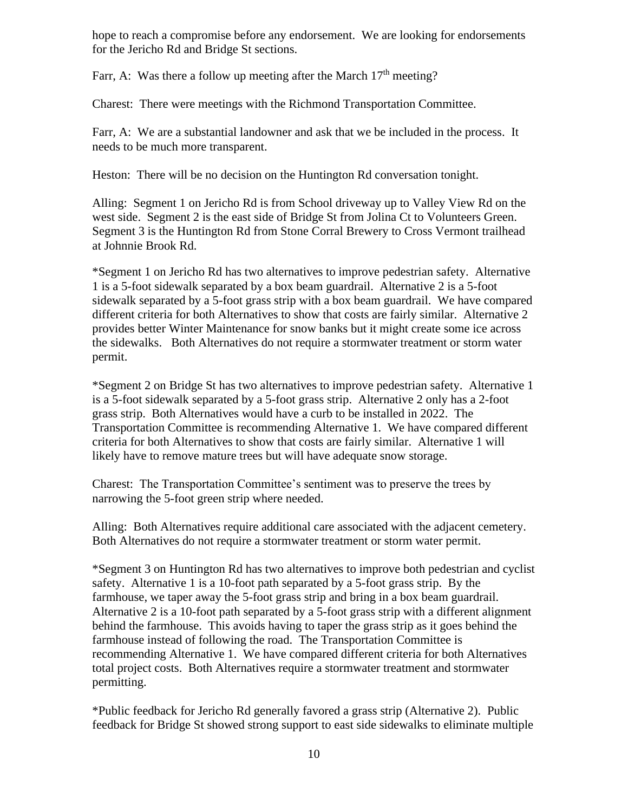hope to reach a compromise before any endorsement. We are looking for endorsements for the Jericho Rd and Bridge St sections.

Farr, A: Was there a follow up meeting after the March  $17<sup>th</sup>$  meeting?

Charest: There were meetings with the Richmond Transportation Committee.

Farr, A: We are a substantial landowner and ask that we be included in the process. It needs to be much more transparent.

Heston: There will be no decision on the Huntington Rd conversation tonight.

Alling: Segment 1 on Jericho Rd is from School driveway up to Valley View Rd on the west side. Segment 2 is the east side of Bridge St from Jolina Ct to Volunteers Green. Segment 3 is the Huntington Rd from Stone Corral Brewery to Cross Vermont trailhead at Johnnie Brook Rd.

\*Segment 1 on Jericho Rd has two alternatives to improve pedestrian safety. Alternative 1 is a 5-foot sidewalk separated by a box beam guardrail. Alternative 2 is a 5-foot sidewalk separated by a 5-foot grass strip with a box beam guardrail. We have compared different criteria for both Alternatives to show that costs are fairly similar. Alternative 2 provides better Winter Maintenance for snow banks but it might create some ice across the sidewalks. Both Alternatives do not require a stormwater treatment or storm water permit.

\*Segment 2 on Bridge St has two alternatives to improve pedestrian safety. Alternative 1 is a 5-foot sidewalk separated by a 5-foot grass strip. Alternative 2 only has a 2-foot grass strip. Both Alternatives would have a curb to be installed in 2022. The Transportation Committee is recommending Alternative 1. We have compared different criteria for both Alternatives to show that costs are fairly similar. Alternative 1 will likely have to remove mature trees but will have adequate snow storage.

Charest: The Transportation Committee's sentiment was to preserve the trees by narrowing the 5-foot green strip where needed.

Alling: Both Alternatives require additional care associated with the adjacent cemetery. Both Alternatives do not require a stormwater treatment or storm water permit.

\*Segment 3 on Huntington Rd has two alternatives to improve both pedestrian and cyclist safety. Alternative 1 is a 10-foot path separated by a 5-foot grass strip. By the farmhouse, we taper away the 5-foot grass strip and bring in a box beam guardrail. Alternative 2 is a 10-foot path separated by a 5-foot grass strip with a different alignment behind the farmhouse. This avoids having to taper the grass strip as it goes behind the farmhouse instead of following the road. The Transportation Committee is recommending Alternative 1. We have compared different criteria for both Alternatives total project costs. Both Alternatives require a stormwater treatment and stormwater permitting.

\*Public feedback for Jericho Rd generally favored a grass strip (Alternative 2). Public feedback for Bridge St showed strong support to east side sidewalks to eliminate multiple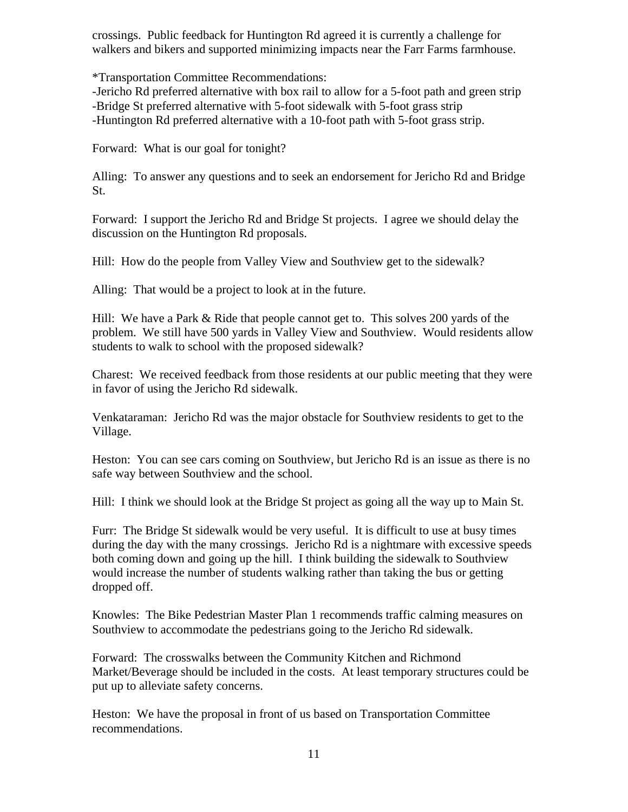crossings. Public feedback for Huntington Rd agreed it is currently a challenge for walkers and bikers and supported minimizing impacts near the Farr Farms farmhouse.

\*Transportation Committee Recommendations:

-Jericho Rd preferred alternative with box rail to allow for a 5-foot path and green strip -Bridge St preferred alternative with 5-foot sidewalk with 5-foot grass strip -Huntington Rd preferred alternative with a 10-foot path with 5-foot grass strip.

Forward: What is our goal for tonight?

Alling: To answer any questions and to seek an endorsement for Jericho Rd and Bridge St.

Forward: I support the Jericho Rd and Bridge St projects. I agree we should delay the discussion on the Huntington Rd proposals.

Hill: How do the people from Valley View and Southview get to the sidewalk?

Alling: That would be a project to look at in the future.

Hill: We have a Park & Ride that people cannot get to. This solves 200 yards of the problem. We still have 500 yards in Valley View and Southview. Would residents allow students to walk to school with the proposed sidewalk?

Charest: We received feedback from those residents at our public meeting that they were in favor of using the Jericho Rd sidewalk.

Venkataraman: Jericho Rd was the major obstacle for Southview residents to get to the Village.

Heston: You can see cars coming on Southview, but Jericho Rd is an issue as there is no safe way between Southview and the school.

Hill: I think we should look at the Bridge St project as going all the way up to Main St.

Furr: The Bridge St sidewalk would be very useful. It is difficult to use at busy times during the day with the many crossings. Jericho Rd is a nightmare with excessive speeds both coming down and going up the hill. I think building the sidewalk to Southview would increase the number of students walking rather than taking the bus or getting dropped off.

Knowles: The Bike Pedestrian Master Plan 1 recommends traffic calming measures on Southview to accommodate the pedestrians going to the Jericho Rd sidewalk.

Forward: The crosswalks between the Community Kitchen and Richmond Market/Beverage should be included in the costs. At least temporary structures could be put up to alleviate safety concerns.

Heston: We have the proposal in front of us based on Transportation Committee recommendations.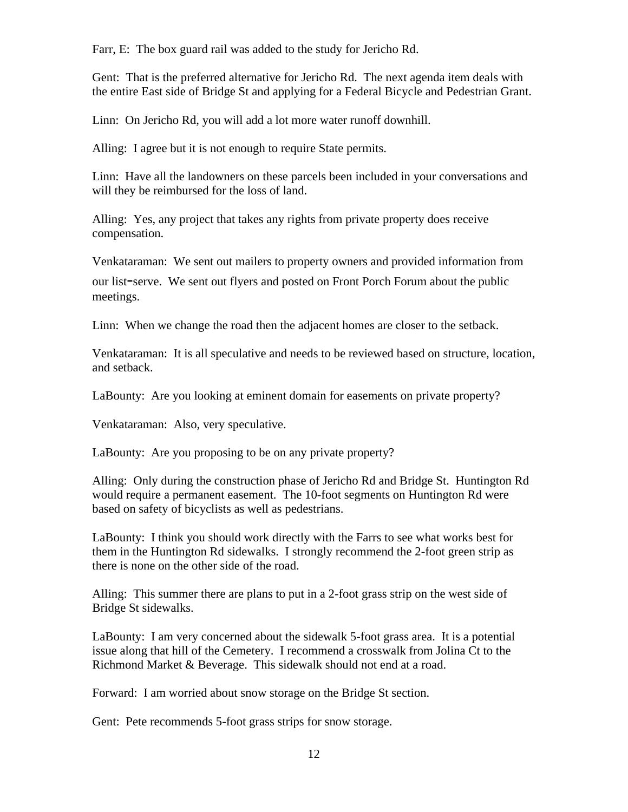Farr, E: The box guard rail was added to the study for Jericho Rd.

Gent: That is the preferred alternative for Jericho Rd. The next agenda item deals with the entire East side of Bridge St and applying for a Federal Bicycle and Pedestrian Grant.

Linn: On Jericho Rd, you will add a lot more water runoff downhill.

Alling: I agree but it is not enough to require State permits.

Linn: Have all the landowners on these parcels been included in your conversations and will they be reimbursed for the loss of land.

Alling: Yes, any project that takes any rights from private property does receive compensation.

Venkataraman: We sent out mailers to property owners and provided information from our list-serve. We sent out flyers and posted on Front Porch Forum about the public meetings.

Linn: When we change the road then the adjacent homes are closer to the setback.

Venkataraman: It is all speculative and needs to be reviewed based on structure, location, and setback.

LaBounty: Are you looking at eminent domain for easements on private property?

Venkataraman: Also, very speculative.

LaBounty: Are you proposing to be on any private property?

Alling: Only during the construction phase of Jericho Rd and Bridge St. Huntington Rd would require a permanent easement. The 10-foot segments on Huntington Rd were based on safety of bicyclists as well as pedestrians.

LaBounty: I think you should work directly with the Farrs to see what works best for them in the Huntington Rd sidewalks. I strongly recommend the 2-foot green strip as there is none on the other side of the road.

Alling: This summer there are plans to put in a 2-foot grass strip on the west side of Bridge St sidewalks.

LaBounty: I am very concerned about the sidewalk 5-foot grass area. It is a potential issue along that hill of the Cemetery. I recommend a crosswalk from Jolina Ct to the Richmond Market & Beverage. This sidewalk should not end at a road.

Forward: I am worried about snow storage on the Bridge St section.

Gent: Pete recommends 5-foot grass strips for snow storage.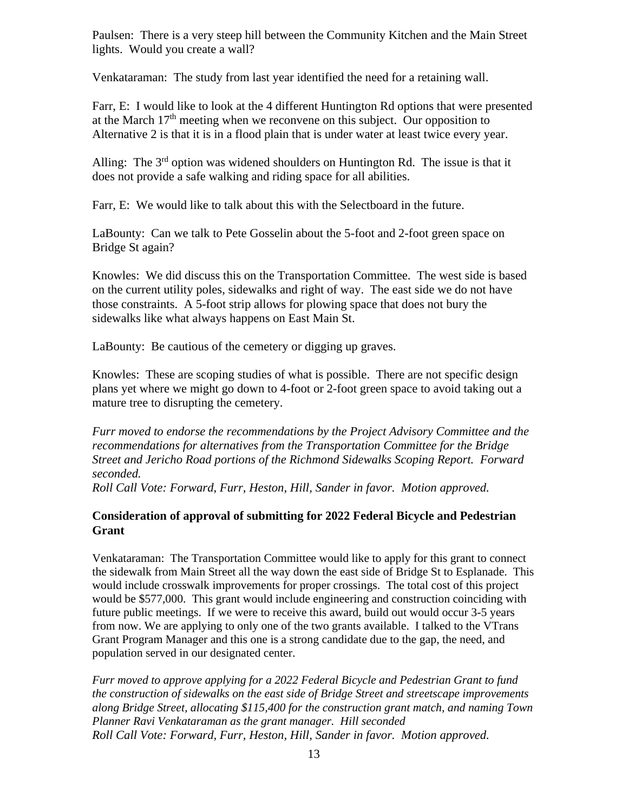Paulsen: There is a very steep hill between the Community Kitchen and the Main Street lights. Would you create a wall?

Venkataraman: The study from last year identified the need for a retaining wall.

Farr, E: I would like to look at the 4 different Huntington Rd options that were presented at the March  $17<sup>th</sup>$  meeting when we reconvene on this subject. Our opposition to Alternative 2 is that it is in a flood plain that is under water at least twice every year.

Alling: The  $3<sup>rd</sup>$  option was widened shoulders on Huntington Rd. The issue is that it does not provide a safe walking and riding space for all abilities.

Farr, E: We would like to talk about this with the Selectboard in the future.

LaBounty: Can we talk to Pete Gosselin about the 5-foot and 2-foot green space on Bridge St again?

Knowles: We did discuss this on the Transportation Committee. The west side is based on the current utility poles, sidewalks and right of way. The east side we do not have those constraints. A 5-foot strip allows for plowing space that does not bury the sidewalks like what always happens on East Main St.

LaBounty: Be cautious of the cemetery or digging up graves.

Knowles: These are scoping studies of what is possible. There are not specific design plans yet where we might go down to 4-foot or 2-foot green space to avoid taking out a mature tree to disrupting the cemetery.

*Furr moved to endorse the recommendations by the Project Advisory Committee and the recommendations for alternatives from the Transportation Committee for the Bridge Street and Jericho Road portions of the Richmond Sidewalks Scoping Report. Forward seconded.*

*Roll Call Vote: Forward, Furr, Heston, Hill, Sander in favor. Motion approved.*

# **Consideration of approval of submitting for 2022 Federal Bicycle and Pedestrian Grant**

Venkataraman: The Transportation Committee would like to apply for this grant to connect the sidewalk from Main Street all the way down the east side of Bridge St to Esplanade. This would include crosswalk improvements for proper crossings. The total cost of this project would be \$577,000. This grant would include engineering and construction coinciding with future public meetings. If we were to receive this award, build out would occur 3-5 years from now. We are applying to only one of the two grants available. I talked to the VTrans Grant Program Manager and this one is a strong candidate due to the gap, the need, and population served in our designated center.

*Furr moved to approve applying for a 2022 Federal Bicycle and Pedestrian Grant to fund the construction of sidewalks on the east side of Bridge Street and streetscape improvements along Bridge Street, allocating \$115,400 for the construction grant match, and naming Town Planner Ravi Venkataraman as the grant manager. Hill seconded Roll Call Vote: Forward, Furr, Heston, Hill, Sander in favor. Motion approved.*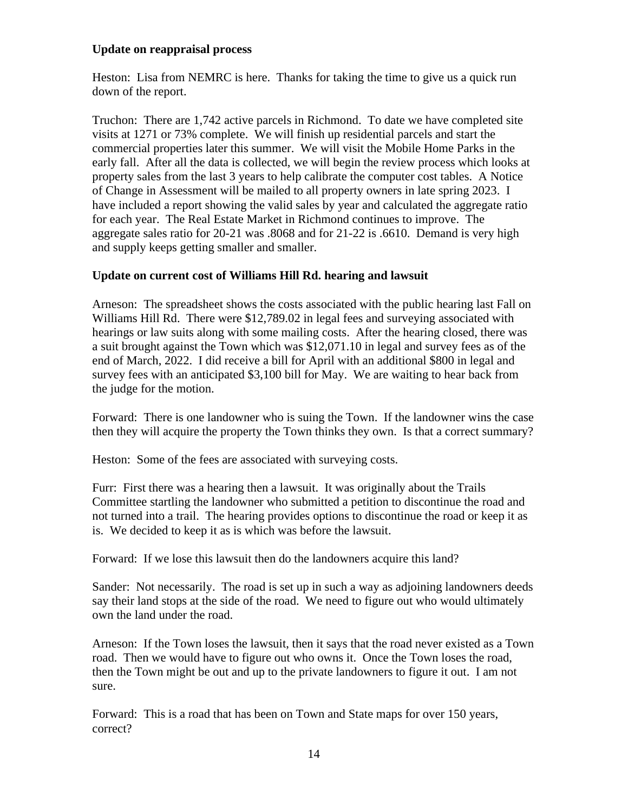### **Update on reappraisal process**

Heston: Lisa from NEMRC is here. Thanks for taking the time to give us a quick run down of the report.

Truchon: There are 1,742 active parcels in Richmond. To date we have completed site visits at 1271 or 73% complete. We will finish up residential parcels and start the commercial properties later this summer. We will visit the Mobile Home Parks in the early fall. After all the data is collected, we will begin the review process which looks at property sales from the last 3 years to help calibrate the computer cost tables. A Notice of Change in Assessment will be mailed to all property owners in late spring 2023. I have included a report showing the valid sales by year and calculated the aggregate ratio for each year. The Real Estate Market in Richmond continues to improve. The aggregate sales ratio for 20-21 was .8068 and for 21-22 is .6610. Demand is very high and supply keeps getting smaller and smaller.

### **Update on current cost of Williams Hill Rd. hearing and lawsuit**

Arneson: The spreadsheet shows the costs associated with the public hearing last Fall on Williams Hill Rd. There were \$12,789.02 in legal fees and surveying associated with hearings or law suits along with some mailing costs. After the hearing closed, there was a suit brought against the Town which was \$12,071.10 in legal and survey fees as of the end of March, 2022. I did receive a bill for April with an additional \$800 in legal and survey fees with an anticipated \$3,100 bill for May. We are waiting to hear back from the judge for the motion.

Forward: There is one landowner who is suing the Town. If the landowner wins the case then they will acquire the property the Town thinks they own. Is that a correct summary?

Heston: Some of the fees are associated with surveying costs.

Furr: First there was a hearing then a lawsuit. It was originally about the Trails Committee startling the landowner who submitted a petition to discontinue the road and not turned into a trail. The hearing provides options to discontinue the road or keep it as is. We decided to keep it as is which was before the lawsuit.

Forward: If we lose this lawsuit then do the landowners acquire this land?

Sander: Not necessarily. The road is set up in such a way as adjoining landowners deeds say their land stops at the side of the road. We need to figure out who would ultimately own the land under the road.

Arneson: If the Town loses the lawsuit, then it says that the road never existed as a Town road. Then we would have to figure out who owns it. Once the Town loses the road, then the Town might be out and up to the private landowners to figure it out. I am not sure.

Forward: This is a road that has been on Town and State maps for over 150 years, correct?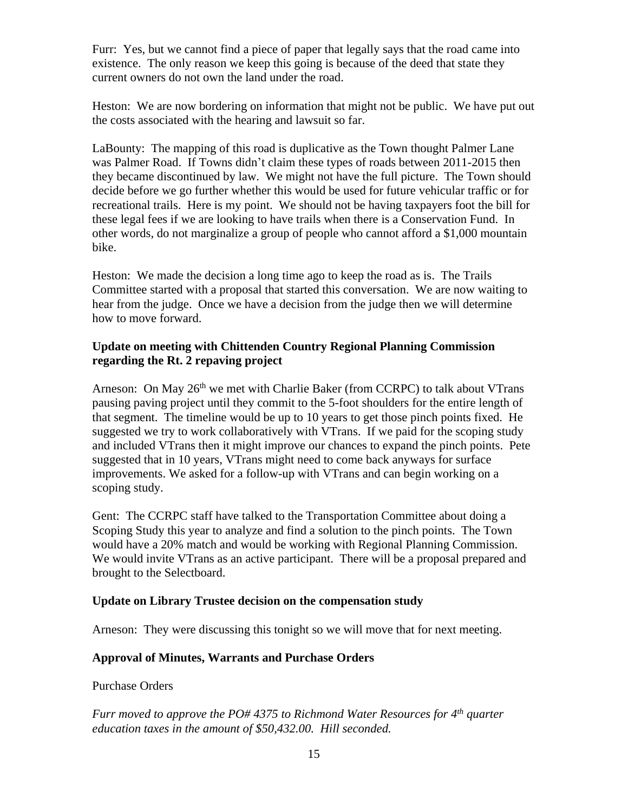Furr: Yes, but we cannot find a piece of paper that legally says that the road came into existence. The only reason we keep this going is because of the deed that state they current owners do not own the land under the road.

Heston: We are now bordering on information that might not be public. We have put out the costs associated with the hearing and lawsuit so far.

LaBounty: The mapping of this road is duplicative as the Town thought Palmer Lane was Palmer Road. If Towns didn't claim these types of roads between 2011-2015 then they became discontinued by law. We might not have the full picture. The Town should decide before we go further whether this would be used for future vehicular traffic or for recreational trails. Here is my point. We should not be having taxpayers foot the bill for these legal fees if we are looking to have trails when there is a Conservation Fund. In other words, do not marginalize a group of people who cannot afford a \$1,000 mountain bike.

Heston: We made the decision a long time ago to keep the road as is. The Trails Committee started with a proposal that started this conversation. We are now waiting to hear from the judge. Once we have a decision from the judge then we will determine how to move forward.

### **Update on meeting with Chittenden Country Regional Planning Commission regarding the Rt. 2 repaving project**

Arneson: On May  $26<sup>th</sup>$  we met with Charlie Baker (from CCRPC) to talk about VTrans pausing paving project until they commit to the 5-foot shoulders for the entire length of that segment. The timeline would be up to 10 years to get those pinch points fixed. He suggested we try to work collaboratively with VTrans. If we paid for the scoping study and included VTrans then it might improve our chances to expand the pinch points. Pete suggested that in 10 years, VTrans might need to come back anyways for surface improvements. We asked for a follow-up with VTrans and can begin working on a scoping study.

Gent: The CCRPC staff have talked to the Transportation Committee about doing a Scoping Study this year to analyze and find a solution to the pinch points. The Town would have a 20% match and would be working with Regional Planning Commission. We would invite VTrans as an active participant. There will be a proposal prepared and brought to the Selectboard.

### **Update on Library Trustee decision on the compensation study**

Arneson: They were discussing this tonight so we will move that for next meeting.

# **Approval of Minutes, Warrants and Purchase Orders**

### Purchase Orders

*Furr moved to approve the PO# 4375 to Richmond Water Resources for 4 th quarter education taxes in the amount of \$50,432.00. Hill seconded.*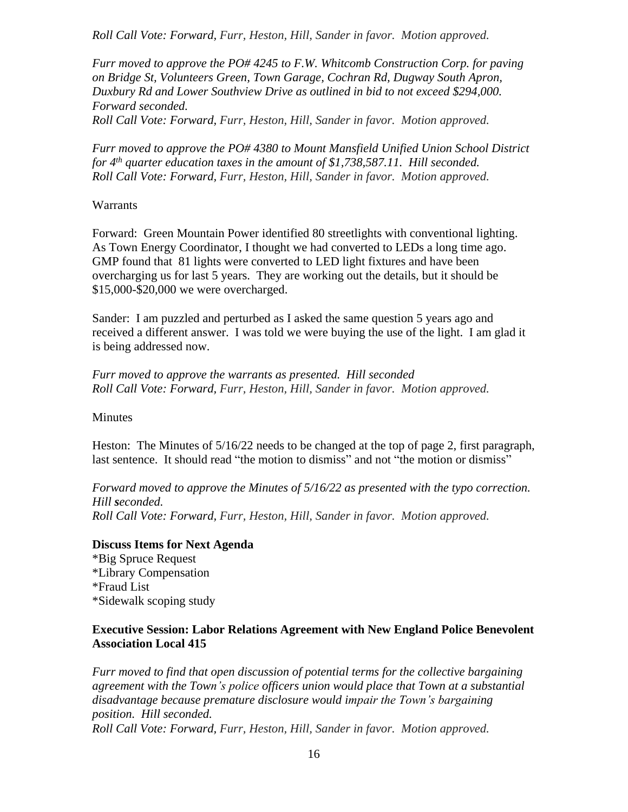*Roll Call Vote: Forward, Furr, Heston, Hill, Sander in favor. Motion approved.*

*Furr moved to approve the PO# 4245 to F.W. Whitcomb Construction Corp. for paving on Bridge St, Volunteers Green, Town Garage, Cochran Rd, Dugway South Apron, Duxbury Rd and Lower Southview Drive as outlined in bid to not exceed \$294,000. Forward seconded.*

*Roll Call Vote: Forward, Furr, Heston, Hill, Sander in favor. Motion approved.*

*Furr moved to approve the PO# 4380 to Mount Mansfield Unified Union School District for 4 th quarter education taxes in the amount of \$1,738,587.11. Hill seconded. Roll Call Vote: Forward, Furr, Heston, Hill, Sander in favor. Motion approved.*

#### **Warrants**

Forward: Green Mountain Power identified 80 streetlights with conventional lighting. As Town Energy Coordinator, I thought we had converted to LEDs a long time ago. GMP found that 81 lights were converted to LED light fixtures and have been overcharging us for last 5 years. They are working out the details, but it should be \$15,000-\$20,000 we were overcharged.

Sander: I am puzzled and perturbed as I asked the same question 5 years ago and received a different answer. I was told we were buying the use of the light. I am glad it is being addressed now.

*Furr moved to approve the warrants as presented. Hill seconded Roll Call Vote: Forward, Furr, Heston, Hill, Sander in favor. Motion approved.*

### Minutes

Heston: The Minutes of 5/16/22 needs to be changed at the top of page 2, first paragraph, last sentence. It should read "the motion to dismiss" and not "the motion or dismiss"

*Forward moved to approve the Minutes of 5/16/22 as presented with the typo correction. Hill seconded. Roll Call Vote: Forward, Furr, Heston, Hill, Sander in favor. Motion approved.*

### **Discuss Items for Next Agenda**

\*Big Spruce Request \*Library Compensation \*Fraud List \*Sidewalk scoping study

### **Executive Session: Labor Relations Agreement with New England Police Benevolent Association Local 415**

*Furr moved to find that open discussion of potential terms for the collective bargaining agreement with the Town's police officers union would place that Town at a substantial disadvantage because premature disclosure would impair the Town's bargaining position. Hill seconded. Roll Call Vote: Forward, Furr, Heston, Hill, Sander in favor. Motion approved.*